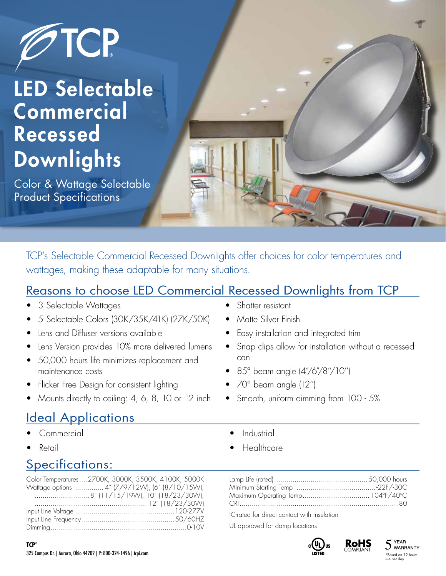

# LED Selectable **Commercial** Recessed **Downlights**

Color & Wattage Selectable Product Specifications

TCP's Selectable Commercial Recessed Downlights offer choices for color temperatures and wattages, making these adaptable for many situations.

#### Reasons to choose LED Commercial Recessed Downlights from TCP

- 3 Selectable Wattages
- 5 Selectable Colors (30K/35K/41K) (27K/50K)
- Lens and Diffuser versions available
- Lens Version provides 10% more delivered lumens
- 50,000 hours life minimizes replacement and maintenance costs
- Flicker Free Design for consistent lighting
- Mounts directly to ceiling: 4, 6, 8, 10 or 12 inch

#### **Ideal Applications**

- Commercial
- Retail

### Specifications:

Color Temperatures....2700K, 3000K, 3500K, 4100K, 5000K Wattage options .............. 4" (7/9/12W), (6" (8/10/15W), ...........................8" (11/15/19W), 10" (18/23/30W), ....................................................... 12" (18/23/30W) Input Line Voltage .................................................120-277V Input Line Frequency..............................................50/60HZ Dimming...................................................................0-10V

- Shatter resistant
- Matte Silver Finish
- Easy installation and integrated trim
- Snap clips allow for installation without a recessed can
- 85° beam angle (4"/6"/8"/10")
- 70° beam angle (12'')
- Smooth, uniform dimming from 100 5%
	- **Industrial**
	- Healthcare

IC-rated for direct contact with insulation

UL approved for damp locations





**WARRANTY** \*Based on 12 hours use per day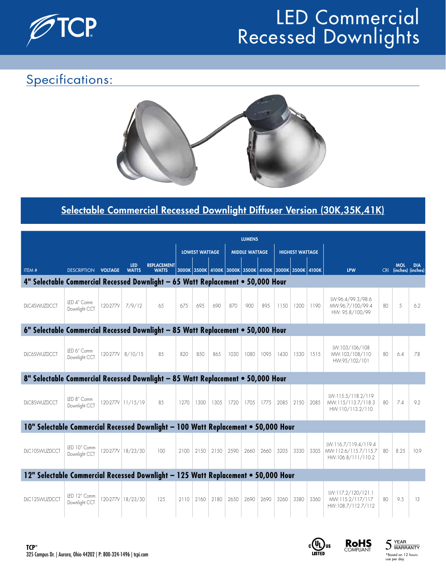

#### Specifications:



#### Selectable Commercial Recessed Downlight Diffuser Version (30K,35K,41K)

|                                                                                   |                               | <b>LUMENS</b> |                            |                                    |                       |                                                       |      |      |                       |      |                        |       |      |                                                                    |    |                                     |            |
|-----------------------------------------------------------------------------------|-------------------------------|---------------|----------------------------|------------------------------------|-----------------------|-------------------------------------------------------|------|------|-----------------------|------|------------------------|-------|------|--------------------------------------------------------------------|----|-------------------------------------|------------|
|                                                                                   |                               |               |                            |                                    | <b>LOWEST WATTAGE</b> |                                                       |      |      | <b>MIDDLE WATTAGE</b> |      | <b>HIGHEST WATTAGE</b> |       |      |                                                                    |    |                                     |            |
| ITEM#                                                                             | <b>DESCRIPTION VOLTAGE</b>    |               | <b>LED</b><br><b>WATTS</b> | <b>REPLACEMENT</b><br><b>WATTS</b> |                       | 3000K 3500K 4100K 3000K 3500K 4100K 3000K 3500K 4100K |      |      |                       |      |                        |       |      | <b>LPW</b>                                                         |    | <b>MOL</b><br>CRI (inches) (inches) | <b>DIA</b> |
| 4" Selectable Commercial Recessed Downlight - 65 Watt Replacement . 50,000 Hour   |                               |               |                            |                                    |                       |                                                       |      |      |                       |      |                        |       |      |                                                                    |    |                                     |            |
| DIC4SWUZDCCT                                                                      | LED 4" Comm<br>Downlight CCT  |               | 120-277V 7/9/12            | 65                                 | 67.5                  | 69.5                                                  | 690  | 870  | 900                   | 895  | 1150                   | 1200  | 1190 | LW:96.4/99.3/98.6<br>MW:96.7/100/99.4<br>HW: 95.8/100/99           | 80 | .5                                  | 6.2        |
| 6" Selectable Commercial Recessed Downlight - 85 Watt Replacement . 50,000 Hour   |                               |               |                            |                                    |                       |                                                       |      |      |                       |      |                        |       |      |                                                                    |    |                                     |            |
| <b>DLC6SWUZDCCT</b>                                                               | LED 6" Comm<br>Downlight CCT  | 120-277V      | 8/10/15                    | 8.5                                | 820                   | 850                                                   | 865  | 1030 | 1080                  | 1095 | 1430                   | 1530  | 1515 | LW:103/106/108<br>MW:103/108/110<br>HW:95/102/101                  | 80 | 6.4                                 | 7.8        |
| 8" Selectable Commercial Recessed Downlight - 85 Watt Replacement . 50,000 Hour   |                               |               |                            |                                    |                       |                                                       |      |      |                       |      |                        |       |      |                                                                    |    |                                     |            |
| DLC8SWUZDCCT                                                                      | LED 8" Comm<br>Downlight CCT  |               | 120-277V 11/15/19          | 85                                 | 1270                  | 1300                                                  | 1305 | 1720 | 170.5                 | 1775 | 2085                   | 21.50 | 2085 | LW:115.5/118.2/119<br>MW:115/113.7/118.3<br>HW:110/113.2/110       | 80 | 7.4                                 | 9.2        |
| 10" Selectable Commercial Recessed Downlight - 100 Watt Replacement . 50,000 Hour |                               |               |                            |                                    |                       |                                                       |      |      |                       |      |                        |       |      |                                                                    |    |                                     |            |
| DLC10SWUZDCCT                                                                     | LED 10" Comm<br>Downlight CCT |               | 120-277V 18/23/30          | 100                                | 2100                  | 2150                                                  | 2150 | 2590 | 2660                  | 2660 | 3205                   | 3330  | 3305 | LW:116.7/119.4/119.4<br>MW:112.6/115.7/115.7<br>HW:106.8/111/110.2 | 80 | 8.25                                | 10.9       |
| 12" Selectable Commercial Recessed Downlight - 125 Watt Replacement . 50,000 Hour |                               |               |                            |                                    |                       |                                                       |      |      |                       |      |                        |       |      |                                                                    |    |                                     |            |
| DLC12SWUZDCCT                                                                     | LED 12" Comm<br>Downlight CCT |               | 120-277V 18/23/30          | 125                                | 2110                  | 2160                                                  | 2180 | 2650 | 2690                  | 2690 | 3260                   | 3380  | 3360 | LW:117.2/120/121.1<br>MW:115.2/117/117<br>HW:108.7/112.7/112       | 80 | 9.5                                 | 13         |







use per day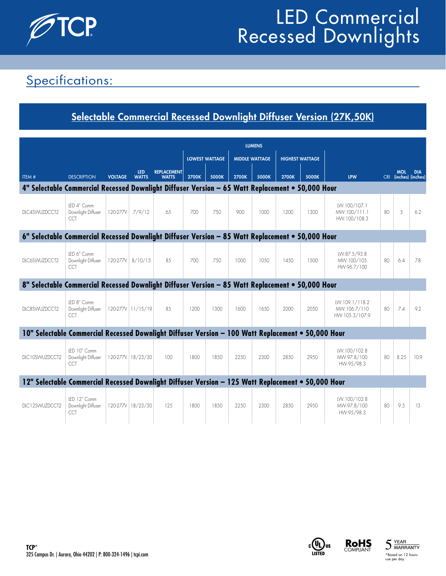

### Specifications:

#### Selectable Commercial Recessed Downlight Diffuser Version (27K,50K)

|                                                                                                    |                                                  | <b>LUMENS</b>  |                            |                                    |                       |       |              |                       |                        |       |                                                  |    |                                     |            |
|----------------------------------------------------------------------------------------------------|--------------------------------------------------|----------------|----------------------------|------------------------------------|-----------------------|-------|--------------|-----------------------|------------------------|-------|--------------------------------------------------|----|-------------------------------------|------------|
|                                                                                                    |                                                  |                |                            |                                    | <b>LOWEST WATTAGE</b> |       |              | <b>MIDDLE WATTAGE</b> | <b>HIGHEST WATTAGE</b> |       |                                                  |    |                                     |            |
| ITEM#                                                                                              | <b>DESCRIPTION</b>                               | <b>VOLTAGE</b> | <b>LED</b><br><b>WATTS</b> | <b>REPLACEMENT</b><br><b>WATTS</b> | <b>2700K</b>          | 5000K | <b>2700K</b> | 5000K                 | 2700K                  | 5000K | <b>LPW</b>                                       |    | <b>MOL</b><br>CRI (inches) (inches) | <b>DIA</b> |
| 4" Selectable Commercial Recessed Downlight Diffuser Version - 65 Watt Replacement . 50,000 Hour   |                                                  |                |                            |                                    |                       |       |              |                       |                        |       |                                                  |    |                                     |            |
| DLC4SWUZDCCT2                                                                                      | LED 4" Comm<br>Downlight Diffuser<br>CCT         | 120-277V       | 7/9/12                     | 65                                 | 700                   | 750   | 900          | 1000                  | 1200                   | 1300  | LW:100/107.1<br>MW:100/111.1<br>HW:100/108.3     | 80 | 5                                   | 6.2        |
| 6" Selectable Commercial Recessed Downlight Diffuser Version - 85 Watt Replacement . 50,000 Hour   |                                                  |                |                            |                                    |                       |       |              |                       |                        |       |                                                  |    |                                     |            |
| DLC6SWUZDCCT2                                                                                      | LED 6" Comm<br>Downlight Diffuser<br>CCT         |                | 120-277V 8/10/15           | 8.5                                | 700                   | 750   | 1000         | 10.50                 | 1450                   | 1500  | LW:87.5/93.8<br>MW:100/105<br>HW:96.7/100        | 80 | 6.4                                 | 7.8        |
| 8" Selectable Commercial Recessed Downlight Diffuser Version - 85 Watt Replacement . 50,000 Hour   |                                                  |                |                            |                                    |                       |       |              |                       |                        |       |                                                  |    |                                     |            |
| DLC8SWUZDCCT2                                                                                      | IFD 8" Comm<br>Downlight Diffuser<br>CCT         |                | 120-277V 11/15/19          | 8.5                                | 1200                  | 1300  | 1600         | 1650                  | 2000                   | 20.50 | LW:109.1/118.2<br>MW:106.7/110<br>HW:105.3/107.9 | 80 | 7.4                                 | 9.2        |
| 10" Selectable Commercial Recessed Downlight Diffuser Version - 100 Watt Replacement . 50,000 Hour |                                                  |                |                            |                                    |                       |       |              |                       |                        |       |                                                  |    |                                     |            |
| DLC10SWUZDCCT2                                                                                     | IFD 10" Comm<br>Downlight Diffuser<br><b>CCT</b> |                | 120-277V 18/23/30          | 100                                | 1800                  | 1850  | 2250         | 2300                  | 2850                   | 2950  | LW:100/102.8<br>MW:97.8/100<br>HW:95/98.3        | 80 | 8.25                                | 10.9       |
| 12" Selectable Commercial Recessed Downlight Diffuser Version - 125 Watt Replacement . 50,000 Hour |                                                  |                |                            |                                    |                       |       |              |                       |                        |       |                                                  |    |                                     |            |
| DLC12SWUZDCCT2                                                                                     | LED 12" Comm<br>Downlight Diffuser<br>CCT        |                | 120-277V 18/23/30          | 125                                | 1800                  | 1850  | 2250         | 2300                  | 2850                   | 2950  | LW:100/102.8<br>MW:97.8/100<br>HW:95/98.3        | 80 | 9.5                                 | 13         |





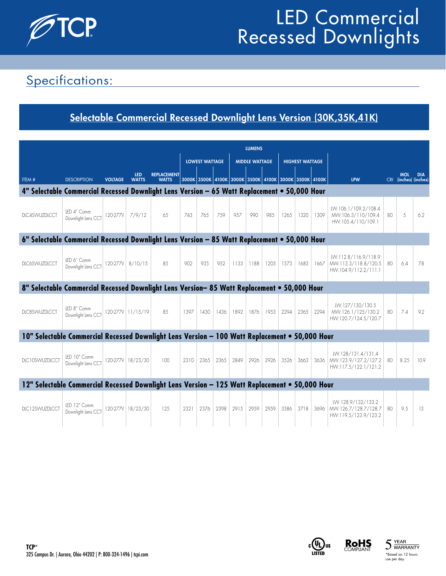

### Specifications:

#### Selectable Commercial Recessed Downlight Lens Version (30K,35K,41K)

|                                                                                                |                                    |                 | <b>LUMENS</b>              |                                    |                       |      |      |      |                       |             |      |                                                       |      |                                                                         |    |                                     |            |
|------------------------------------------------------------------------------------------------|------------------------------------|-----------------|----------------------------|------------------------------------|-----------------------|------|------|------|-----------------------|-------------|------|-------------------------------------------------------|------|-------------------------------------------------------------------------|----|-------------------------------------|------------|
|                                                                                                |                                    |                 |                            |                                    | <b>LOWEST WATTAGE</b> |      |      |      | <b>MIDDLE WATTAGE</b> |             |      | <b>HIGHEST WATTAGE</b>                                |      |                                                                         |    |                                     |            |
| ITEM#                                                                                          | <b>DESCRIPTION</b>                 | <b>VOLTAGE</b>  | <b>LED</b><br><b>WATTS</b> | <b>REPLACEMENT</b><br><b>WATTS</b> |                       |      |      |      |                       |             |      | 3000K 3500K 4100K 3000K 3500K 4100K 3000K 3500K 4100K |      | <b>LPW</b>                                                              |    | <b>MOL</b><br>CRI (inches) (inches) | <b>DIA</b> |
| 4" Selectable Commercial Recessed Downlight Lens Version - 65 Watt Replacement . 50,000 Hour   |                                    |                 |                            |                                    |                       |      |      |      |                       |             |      |                                                       |      |                                                                         |    |                                     |            |
| DLC4SWUZDLCCT                                                                                  | LED 4" Comm<br>Downlight Lens CCT  | 120-277V 7/9/12 |                            | 65                                 | 743                   | 765  | 759  | 957  | 990                   | 985         | 1265 | 1320                                                  | 1309 | LW:106.1/109.2/108.4<br>MW:106.3/110/109.4<br>HW:105.4/110/109.1        | 80 | 5                                   | 6.2        |
| 6" Selectable Commercial Recessed Downlight Lens Version - 85 Watt Replacement . 50,000 Hour   |                                    |                 |                            |                                    |                       |      |      |      |                       |             |      |                                                       |      |                                                                         |    |                                     |            |
| <b>DIC6SWUZDICCT</b>                                                                           | LED 6" Comm<br>Downlight Lens CCT  |                 | 120-277V 8/10/15           | 8.5                                | 902                   | 935  | 952  |      |                       |             |      | 1133 1188 1205 1573 1683                              | 1667 | LW:112.8/116.9/118.9<br>MW:113.3/118.8/120.5<br>HW:104.9/112.2/111.1    | 80 | 6.4                                 | 78         |
| 8" Selectable Commercial Recessed Downlight Lens Version-85 Watt Replacement . 50,000 Hour     |                                    |                 |                            |                                    |                       |      |      |      |                       |             |      |                                                       |      |                                                                         |    |                                     |            |
| DLC8SWUZDLCCT                                                                                  | LED 8" Comm<br>Downlight Lens CCT  |                 | 120-277V 11/15/19          | 8.5                                | 1397                  | 1430 | 1436 | 1892 | 1876                  | 1953   2294 |      | 2365                                                  | 2294 | LW:127/130/130.5<br>MW:126.1/125/130.2<br>HW:120.7/124.5/120.7          | 80 | 7.4                                 | 9.2        |
| 10" Selectable Commercial Recessed Downlight Lens Version - 100 Watt Replacement . 50,000 Hour |                                    |                 |                            |                                    |                       |      |      |      |                       |             |      |                                                       |      |                                                                         |    |                                     |            |
| DLC10SWUZDLCCT                                                                                 | LED 10" Comm<br>Downlight Lens CCT |                 | 120-277V 18/23/30          | 100                                | 2310                  | 2365 | 2365 | 2849 | 2926                  | 2926        | 3526 | 3663                                                  |      | LW:128/131.4/131.4<br>3636 MW:123.9/127.2/127.2<br>HW:117.5/122.1/121.2 | 80 | 8.25                                | 10.9       |
| 12" Selectable Commercial Recessed Downlight Lens Version - 125 Watt Replacement . 50,000 Hour |                                    |                 |                            |                                    |                       |      |      |      |                       |             |      |                                                       |      |                                                                         |    |                                     |            |
| DLC12SWUZDLCCT                                                                                 | LED 12" Comm<br>Downlight Lens CCT |                 | 120-277V 18/23/30          | 125                                | 2321                  | 2376 | 2398 | 2915 | 2959                  | 2959        | 3586 | 3718                                                  | 3696 | LW:128.9/132/133.2<br>MW:126.7/128.7/128.7<br>HW:119.5/123.9/123.2      | 80 | 9.5                                 | 13         |